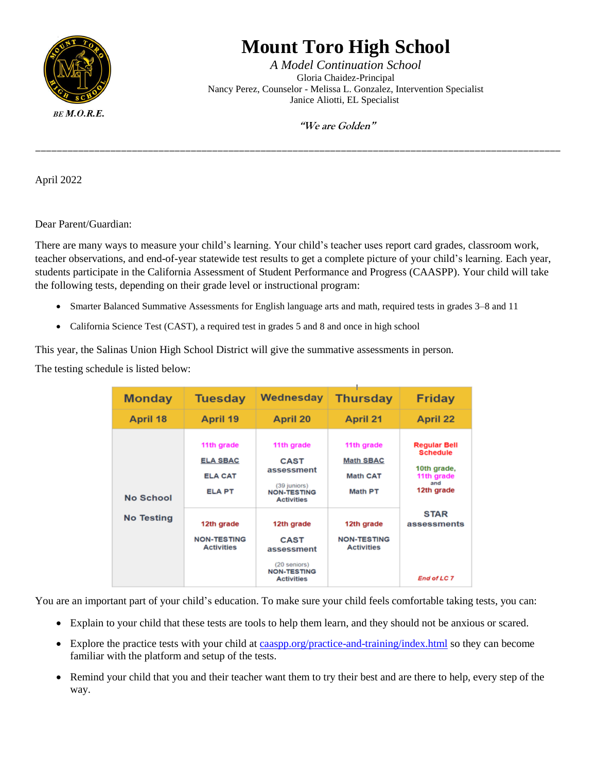

## **Mount Toro High School**

*A Model Continuation School* Gloria Chaidez-Principal Nancy Perez, Counselor - Melissa L. Gonzalez, Intervention Specialist Janice Aliotti, EL Specialist

 **"We are Golden"**

April 2022

Dear Parent/Guardian:

There are many ways to measure your child's learning. Your child's teacher uses report card grades, classroom work, teacher observations, and end-of-year statewide test results to get a complete picture of your child's learning. Each year, students participate in the California Assessment of Student Performance and Progress (CAASPP). Your child will take the following tests, depending on their grade level or instructional program:

- Smarter Balanced Summative Assessments for English language arts and math, required tests in grades 3–8 and 11
- California Science Test (CAST), a required test in grades 5 and 8 and once in high school

This year, the Salinas Union High School District will give the summative assessments in person*.*

The testing schedule is listed below:

| <b>Monday</b>     | <b>Tuesday</b>                                                   | <b>Wednesday</b>                                                                                   | <b>Thursday</b>                                                     | <b>Friday</b>                                                                            |
|-------------------|------------------------------------------------------------------|----------------------------------------------------------------------------------------------------|---------------------------------------------------------------------|------------------------------------------------------------------------------------------|
| April 18          | <b>April 19</b>                                                  | <b>April 20</b>                                                                                    | <b>April 21</b>                                                     | <b>April 22</b>                                                                          |
| <b>No School</b>  | 11th grade<br><b>ELA SBAC</b><br><b>ELA CAT</b><br><b>ELA PT</b> | 11th grade<br><b>CAST</b><br>assessment<br>(39 juniors)<br><b>NON-TESTING</b><br><b>Activities</b> | 11th grade<br><b>Math SBAC</b><br><b>Math CAT</b><br><b>Math PT</b> | <b>Regular Bell</b><br><b>Schedule</b><br>10th grade,<br>11th grade<br>and<br>12th grade |
| <b>No Testing</b> | 12th grade<br><b>NON-TESTING</b><br><b>Activities</b>            | 12th grade<br><b>CAST</b><br>assessment<br>(20 seniors)<br><b>NON-TESTING</b><br><b>Activities</b> | 12th grade<br><b>NON-TESTING</b><br><b>Activities</b>               | <b>STAR</b><br>assessments<br><b>End of LC 7</b>                                         |

You are an important part of your child's education. To make sure your child feels comfortable taking tests, you can:

- Explain to your child that these tests are tools to help them learn, and they should not be anxious or scared.
- Explore the practice tests with your child at [caaspp.org/practice-and-training/index.html](http://www.caaspp.org/practice-and-training/index.html) so they can become familiar with the platform and setup of the tests.
- Remind your child that you and their teacher want them to try their best and are there to help, every step of the way.